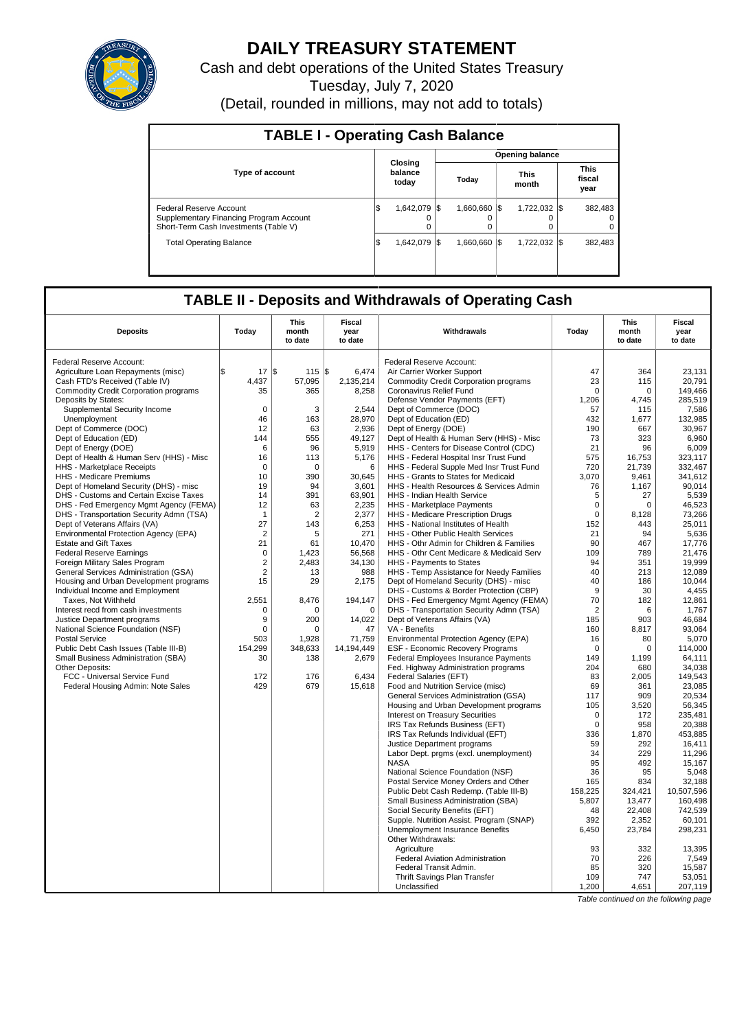

# **DAILY TREASURY STATEMENT**

Cash and debt operations of the United States Treasury .<br>Tuesday, July 7, 2020

| (Detail, rounded in millions, may not add to totals) |  |  |
|------------------------------------------------------|--|--|
|------------------------------------------------------|--|--|

| <b>TABLE I - Operating Cash Balance</b>                                                                     |     |                             |       |                    |  |                        |  |                               |  |  |  |
|-------------------------------------------------------------------------------------------------------------|-----|-----------------------------|-------|--------------------|--|------------------------|--|-------------------------------|--|--|--|
|                                                                                                             |     |                             |       |                    |  | <b>Opening balance</b> |  |                               |  |  |  |
| <b>Type of account</b>                                                                                      |     | Closing<br>balance<br>today | Today |                    |  | <b>This</b><br>month   |  | <b>This</b><br>fiscal<br>year |  |  |  |
| Federal Reserve Account<br>Supplementary Financing Program Account<br>Short-Term Cash Investments (Table V) | 1\$ | 1.642.079 \\$<br>0          |       | 1.660.660 \\$<br>0 |  | 1.722.032 \\$          |  | 382.483<br>0<br>0             |  |  |  |
| <b>Total Operating Balance</b>                                                                              | 1\$ | 1.642.079 \\                |       | 1,660,660 \$       |  | 1,722,032 \\$          |  | 382.483                       |  |  |  |

# **TABLE II - Deposits and Withdrawals of Operating Cash**

| <b>Deposits</b>                              | Today          | <b>This</b><br>month<br>to date | Fiscal<br>year<br>to date | Withdrawals                                                                | Today          | <b>This</b><br>month<br>to date | Fiscal<br>year<br>to date |
|----------------------------------------------|----------------|---------------------------------|---------------------------|----------------------------------------------------------------------------|----------------|---------------------------------|---------------------------|
| Federal Reserve Account:                     |                |                                 |                           | Federal Reserve Account:                                                   |                |                                 |                           |
| Agriculture Loan Repayments (misc)           | l\$<br>17      | l\$<br>115                      | l\$<br>6.474              | Air Carrier Worker Support                                                 | 47             | 364                             | 23.131                    |
| Cash FTD's Received (Table IV)               | 4,437          | 57,095                          | 2,135,214                 | <b>Commodity Credit Corporation programs</b>                               | 23             | 115                             | 20,791                    |
| <b>Commodity Credit Corporation programs</b> | 35             | 365                             | 8,258                     | Coronavirus Relief Fund                                                    | $\Omega$       | $\mathbf 0$                     | 149,466                   |
| Deposits by States:                          |                |                                 |                           | Defense Vendor Payments (EFT)                                              | 1,206          | 4,745                           | 285.519                   |
| Supplemental Security Income                 | $\Omega$       | 3                               | 2,544                     | Dept of Commerce (DOC)                                                     | 57             | 115                             | 7,586                     |
| Unemployment                                 | 46             | 163                             | 28,970                    | Dept of Education (ED)                                                     | 432            | 1,677                           | 132,985                   |
| Dept of Commerce (DOC)                       | 12             | 63                              | 2.936                     | Dept of Energy (DOE)                                                       | 190            | 667                             | 30.967                    |
| Dept of Education (ED)                       | 144            | 555                             | 49,127                    | Dept of Health & Human Serv (HHS) - Misc                                   | 73             | 323                             | 6,960                     |
| Dept of Energy (DOE)                         | 6              | 96                              | 5,919                     | HHS - Centers for Disease Control (CDC)                                    | 21             | 96                              | 6,009                     |
| Dept of Health & Human Serv (HHS) - Misc     | 16             | 113                             | 5,176                     | HHS - Federal Hospital Insr Trust Fund                                     | 575            | 16,753                          | 323.117                   |
| HHS - Marketplace Receipts                   | $\mathbf 0$    | $\mathbf 0$                     | 6                         | HHS - Federal Supple Med Insr Trust Fund                                   | 720            | 21,739                          | 332,467                   |
| HHS - Medicare Premiums                      | 10             | 390                             | 30,645                    | HHS - Grants to States for Medicaid                                        | 3,070          | 9,461                           | 341,612                   |
| Dept of Homeland Security (DHS) - misc       | 19             | 94                              | 3,601                     | HHS - Health Resources & Services Admin                                    | 76             | 1,167                           | 90.014                    |
| DHS - Customs and Certain Excise Taxes       | 14             | 391                             | 63,901                    | HHS - Indian Health Service                                                | 5              | 27                              | 5,539                     |
| DHS - Fed Emergency Mgmt Agency (FEMA)       | 12             | 63                              | 2,235                     | HHS - Marketplace Payments                                                 | $\mathbf 0$    | $\Omega$                        | 46,523                    |
| DHS - Transportation Security Admn (TSA)     | $\mathbf{1}$   | $\overline{2}$                  | 2.377                     | HHS - Medicare Prescription Drugs                                          | 0              | 8.128                           | 73.266                    |
| Dept of Veterans Affairs (VA)                | 27             | 143                             | 6,253                     | HHS - National Institutes of Health                                        | 152            | 443                             | 25,011                    |
| Environmental Protection Agency (EPA)        | $\overline{2}$ | 5                               | 271                       | HHS - Other Public Health Services                                         | 21             | 94                              | 5,636                     |
| <b>Estate and Gift Taxes</b>                 | 21             | 61                              | 10,470                    | HHS - Othr Admin for Children & Families                                   | 90             | 467                             | 17,776                    |
| <b>Federal Reserve Earnings</b>              | $\Omega$       | 1,423                           | 56,568                    | HHS - Othr Cent Medicare & Medicaid Serv                                   | 109            | 789                             | 21,476                    |
| Foreign Military Sales Program               | $\overline{2}$ | 2,483                           | 34,130                    | HHS - Payments to States                                                   | 94             | 351                             | 19,999                    |
| General Services Administration (GSA)        | $\overline{2}$ | 13                              | 988                       | HHS - Temp Assistance for Needy Families                                   | 40             | 213                             | 12.089                    |
| Housing and Urban Development programs       | 15             | 29                              | 2.175                     | Dept of Homeland Security (DHS) - misc                                     | 40             | 186                             | 10.044                    |
| Individual Income and Employment             |                |                                 |                           | DHS - Customs & Border Protection (CBP)                                    | 9              | 30                              | 4,455                     |
| Taxes, Not Withheld                          | 2,551          | 8,476                           | 194,147                   | DHS - Fed Emergency Mgmt Agency (FEMA)                                     | 70             | 182                             | 12,861                    |
| Interest recd from cash investments          | ∩              | $\Omega$                        | $\Omega$                  | DHS - Transportation Security Admn (TSA)                                   | $\overline{2}$ | 6                               | 1.767                     |
| Justice Department programs                  | 9              | 200                             | 14,022                    | Dept of Veterans Affairs (VA)                                              | 185            | 903                             | 46,684                    |
| National Science Foundation (NSF)            | $\Omega$       | $\Omega$                        | 47                        | VA - Benefits                                                              | 160            | 8.817                           | 93.064                    |
| <b>Postal Service</b>                        | 503            | 1.928                           | 71.759                    | Environmental Protection Agency (EPA)                                      | 16             | 80                              | 5.070                     |
| Public Debt Cash Issues (Table III-B)        | 154,299        | 348,633                         | 14,194,449                | <b>ESF - Economic Recovery Programs</b>                                    | $\mathbf 0$    | $\Omega$                        | 114,000                   |
| Small Business Administration (SBA)          | 30             | 138                             | 2,679                     | Federal Employees Insurance Payments                                       | 149            | 1,199                           | 64.111                    |
| Other Deposits:                              |                |                                 |                           | Fed. Highway Administration programs                                       | 204            | 680                             | 34.038                    |
| FCC - Universal Service Fund                 | 172<br>429     | 176<br>679                      | 6,434                     | Federal Salaries (EFT)                                                     | 83<br>69       | 2,005                           | 149,543                   |
| Federal Housing Admin: Note Sales            |                |                                 | 15,618                    | Food and Nutrition Service (misc)<br>General Services Administration (GSA) | 117            | 361<br>909                      | 23,085<br>20,534          |
|                                              |                |                                 |                           | Housing and Urban Development programs                                     | 105            | 3,520                           | 56,345                    |
|                                              |                |                                 |                           | <b>Interest on Treasury Securities</b>                                     | $\mathbf 0$    | 172                             | 235.481                   |
|                                              |                |                                 |                           | IRS Tax Refunds Business (EFT)                                             | $\mathbf 0$    | 958                             | 20.388                    |
|                                              |                |                                 |                           | IRS Tax Refunds Individual (EFT)                                           | 336            | 1.870                           | 453.885                   |
|                                              |                |                                 |                           | Justice Department programs                                                | 59             | 292                             | 16,411                    |
|                                              |                |                                 |                           | Labor Dept. prgms (excl. unemployment)                                     | 34             | 229                             | 11,296                    |
|                                              |                |                                 |                           | <b>NASA</b>                                                                | 95             | 492                             | 15.167                    |
|                                              |                |                                 |                           | National Science Foundation (NSF)                                          | 36             | 95                              | 5,048                     |
|                                              |                |                                 |                           | Postal Service Money Orders and Other                                      | 165            | 834                             | 32,188                    |
|                                              |                |                                 |                           | Public Debt Cash Redemp. (Table III-B)                                     | 158,225        | 324.421                         | 10.507.596                |
|                                              |                |                                 |                           | Small Business Administration (SBA)                                        | 5,807          | 13,477                          | 160,498                   |
|                                              |                |                                 |                           | Social Security Benefits (EFT)                                             | 48             | 22.408                          | 742.539                   |
|                                              |                |                                 |                           | Supple. Nutrition Assist. Program (SNAP)                                   | 392            | 2,352                           | 60,101                    |
|                                              |                |                                 |                           | Unemployment Insurance Benefits                                            | 6,450          | 23,784                          | 298,231                   |
|                                              |                |                                 |                           | Other Withdrawals:                                                         |                |                                 |                           |
|                                              |                |                                 |                           | Agriculture                                                                | 93             | 332                             | 13,395                    |
|                                              |                |                                 |                           | Federal Aviation Administration                                            | 70             | 226                             | 7,549                     |
|                                              |                |                                 |                           | Federal Transit Admin.                                                     | 85             | 320                             | 15,587                    |
|                                              |                |                                 |                           | Thrift Savings Plan Transfer                                               | 109            | 747                             | 53.051                    |
|                                              |                |                                 |                           | Unclassified                                                               | 1,200          | 4,651                           | 207,119                   |

Table continued on the following page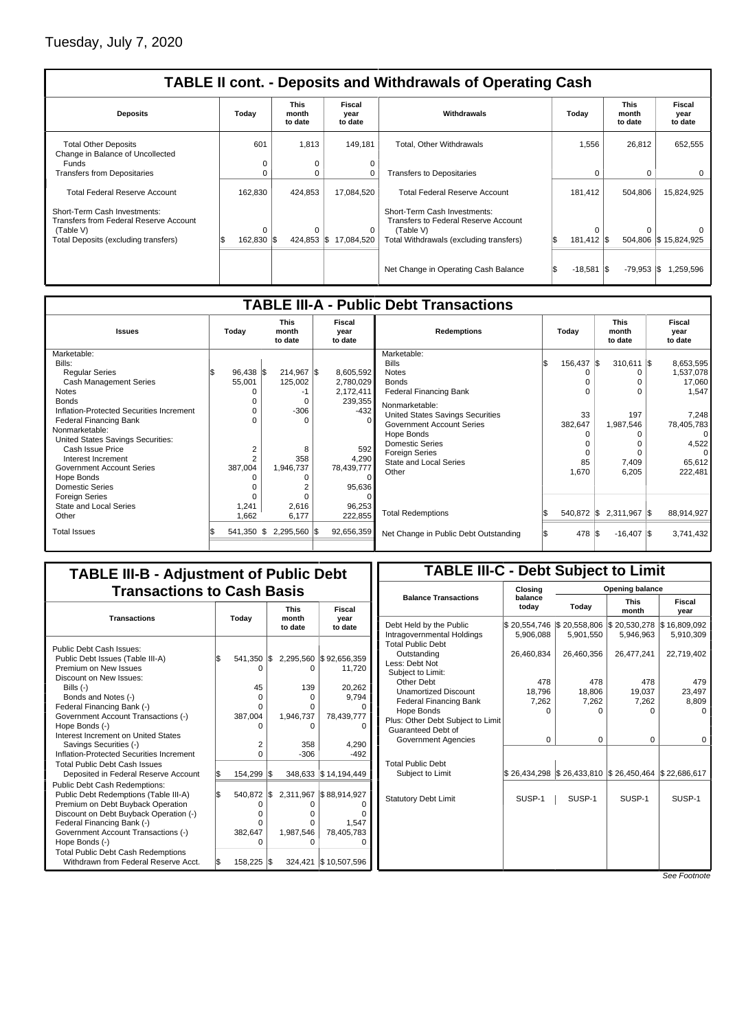| <b>TABLE II cont. - Deposits and Withdrawals of Operating Cash</b>       |                 |                          |                           |                                                                      |                                 |                                 |                           |  |  |  |  |
|--------------------------------------------------------------------------|-----------------|--------------------------|---------------------------|----------------------------------------------------------------------|---------------------------------|---------------------------------|---------------------------|--|--|--|--|
| Today<br><b>Deposits</b>                                                 |                 | This<br>month<br>to date | Fiscal<br>year<br>to date | Withdrawals                                                          | Today                           | <b>This</b><br>month<br>to date | Fiscal<br>year<br>to date |  |  |  |  |
| <b>Total Other Deposits</b><br>Change in Balance of Uncollected<br>Funds | 601<br>0        | 1,813<br>0               | 149,181<br>0              | Total, Other Withdrawals                                             | 1,556                           | 26,812                          | 652,555                   |  |  |  |  |
| <b>Transfers from Depositaries</b>                                       | $\Omega$        | $\Omega$                 | 0                         | <b>Transfers to Depositaries</b>                                     | 0                               | 0                               | $\mathbf{0}$              |  |  |  |  |
| <b>Total Federal Reserve Account</b>                                     | 162,830         | 424,853                  | 17,084,520                | <b>Total Federal Reserve Account</b>                                 | 181,412                         | 504,806                         | 15,824,925                |  |  |  |  |
| Short-Term Cash Investments:<br>Transfers from Federal Reserve Account   |                 |                          |                           | Short-Term Cash Investments:<br>Transfers to Federal Reserve Account |                                 |                                 |                           |  |  |  |  |
| (Table V)<br>Total Deposits (excluding transfers)                        | 0<br>162,830 \$ | $\Omega$<br>424,853 \$   | 0<br>17,084,520           | (Table V)<br>Total Withdrawals (excluding transfers)                 | $\Omega$<br>l\$<br>181,412   \$ |                                 | 504,806 \$15,824,925      |  |  |  |  |
|                                                                          |                 |                          |                           |                                                                      |                                 |                                 |                           |  |  |  |  |
|                                                                          |                 |                          |                           | Net Change in Operating Cash Balance                                 | $-18,581$                       | I\$<br>$-79,953$ $\sqrt{5}$     | 1,259,596                 |  |  |  |  |

| <b>TABLE III-A - Public Debt Transactions</b> |                                                                                                    |                 |  |            |                                         |                                 |                       |      |                           |  |            |  |
|-----------------------------------------------|----------------------------------------------------------------------------------------------------|-----------------|--|------------|-----------------------------------------|---------------------------------|-----------------------|------|---------------------------|--|------------|--|
| <b>Issues</b>                                 | <b>This</b><br><b>Fiscal</b><br>Today<br><b>Redemptions</b><br>month<br>year<br>to date<br>to date |                 |  | Todav      |                                         | <b>This</b><br>month<br>to date |                       |      | Fiscal<br>year<br>to date |  |            |  |
| Marketable:                                   |                                                                                                    |                 |  |            | Marketable:                             |                                 |                       |      |                           |  |            |  |
| Bills:                                        |                                                                                                    |                 |  |            | <b>Bills</b>                            |                                 | $156,437$ $\sqrt{\$}$ |      | $310,611$ $\sqrt{\$}$     |  | 8,653,595  |  |
| <b>Regular Series</b>                         | $96,438$ \$                                                                                        | 214,967 \$      |  | 8,605,592  | <b>Notes</b>                            |                                 |                       |      |                           |  | 1,537,078  |  |
| Cash Management Series                        | 55,001                                                                                             | 125,002         |  | 2,780,029  | <b>Bonds</b>                            |                                 |                       |      |                           |  | 17,060     |  |
| <b>Notes</b>                                  |                                                                                                    |                 |  | 2,172,411  | <b>Federal Financing Bank</b>           |                                 |                       |      | O                         |  | 1,547      |  |
| <b>Bonds</b>                                  |                                                                                                    | 0               |  | 239,355    | Nonmarketable:                          |                                 |                       |      |                           |  |            |  |
| Inflation-Protected Securities Increment      |                                                                                                    | $-306$          |  | $-432$     | <b>United States Savings Securities</b> |                                 | 33                    |      | 197                       |  | 7.248      |  |
| <b>Federal Financing Bank</b>                 |                                                                                                    |                 |  |            | <b>Government Account Series</b>        |                                 | 382,647               |      | 1,987,546                 |  | 78,405,783 |  |
| Nonmarketable:                                |                                                                                                    |                 |  |            | Hope Bonds                              |                                 |                       |      |                           |  | $\Omega$   |  |
| United States Savings Securities:             |                                                                                                    |                 |  |            | <b>Domestic Series</b>                  |                                 |                       |      |                           |  | 4,522      |  |
| Cash Issue Price                              | $\overline{2}$                                                                                     | 8               |  | 592        | <b>Foreign Series</b>                   |                                 |                       |      | $\Omega$                  |  | $\Omega$   |  |
| Interest Increment                            |                                                                                                    | 358             |  | 4,290      | <b>State and Local Series</b>           |                                 | 85                    |      | 7,409                     |  | 65,612     |  |
| <b>Government Account Series</b>              | 387,004                                                                                            | 1,946,737       |  | 78,439,777 | Other                                   |                                 | 1,670                 |      | 6,205                     |  | 222,481    |  |
| Hope Bonds                                    |                                                                                                    |                 |  | $\Omega$   |                                         |                                 |                       |      |                           |  |            |  |
| <b>Domestic Series</b>                        |                                                                                                    |                 |  | 95,636     |                                         |                                 |                       |      |                           |  |            |  |
| <b>Foreign Series</b>                         |                                                                                                    |                 |  |            |                                         |                                 |                       |      |                           |  |            |  |
| State and Local Series                        | 1,241                                                                                              | 2,616           |  | 96,253     |                                         |                                 |                       |      |                           |  |            |  |
| Other                                         | 1,662                                                                                              | 6,177           |  | 222,855    | <b>Total Redemptions</b>                |                                 | 540,872 \$            |      | 2,311,967 \$              |  | 88,914,927 |  |
| <b>Total Issues</b>                           | 541,350 \$                                                                                         | $2,295,560$ \\$ |  | 92,656,359 | Net Change in Public Debt Outstanding   |                                 | 478                   | I\$. | $-16,407$ \\$             |  | 3,741,432  |  |
|                                               |                                                                                                    |                 |  |            |                                         |                                 |                       |      |                           |  |            |  |

## **TABLE III-B - Adjustment of Public Debt Transactions to Cash Basis**

| <b>Transactions</b>                                         |     | Today   |     | <b>This</b><br>month<br>to date | Fiscal<br>year<br>to date                           |
|-------------------------------------------------------------|-----|---------|-----|---------------------------------|-----------------------------------------------------|
| Public Debt Cash Issues:                                    |     |         |     |                                 |                                                     |
| Public Debt Issues (Table III-A)                            | l\$ | 541,350 | IS. | 2,295,560                       | \$92,656,359                                        |
| Premium on New Issues                                       |     |         |     | ი                               | 11,720                                              |
| Discount on New Issues:                                     |     |         |     |                                 |                                                     |
| Bills $(-)$                                                 |     | 45      |     | 139                             | 20.262                                              |
| Bonds and Notes (-)                                         |     | O       |     | 0                               | 9.794                                               |
| Federal Financing Bank (-)                                  |     | O       |     | Ω                               |                                                     |
| Government Account Transactions (-)                         |     | 387,004 |     | 1,946,737                       | 78,439,777                                          |
| Hope Bonds (-)                                              |     |         |     |                                 |                                                     |
| Interest Increment on United States                         |     |         |     |                                 |                                                     |
| Savings Securities (-)                                      |     | 2       |     | 358                             | 4.290                                               |
| Inflation-Protected Securities Increment                    |     | 0       |     | $-306$                          | $-492$                                              |
| <b>Total Public Debt Cash Issues</b>                        |     |         |     |                                 |                                                     |
| Deposited in Federal Reserve Account                        | S.  | 154,299 | I\$ |                                 | 348,633 \$14,194,449                                |
| <b>Public Debt Cash Redemptions:</b>                        |     |         |     |                                 |                                                     |
| Public Debt Redemptions (Table III-A)                       | l\$ | 540,872 |     |                                 | $\frac{1}{2}$ , 2,311,967 $\frac{1}{2}$ ,88,914,927 |
| Premium on Debt Buyback Operation                           |     |         |     |                                 |                                                     |
| Discount on Debt Buyback Operation (-)                      |     | O       |     |                                 |                                                     |
| Federal Financing Bank (-)                                  |     | O       |     | Ω                               | 1.547                                               |
| Government Account Transactions (-)                         |     | 382,647 |     | 1,987,546                       | 78,405,783                                          |
| Hope Bonds (-)<br><b>Total Public Debt Cash Redemptions</b> |     | O       |     |                                 |                                                     |
| Withdrawn from Federal Reserve Acct.                        | \$  | 158,225 | IS. | 324,421                         | \$10,507,596                                        |

## **TABLE III-C - Debt Subject to Limit**

|                                   | Closing          | Opening balance |                           |                |  |  |  |  |  |  |
|-----------------------------------|------------------|-----------------|---------------------------|----------------|--|--|--|--|--|--|
| <b>Balance Transactions</b>       | balance<br>today | Today           | <b>This</b><br>month      | Fiscal<br>year |  |  |  |  |  |  |
| Debt Held by the Public           | \$20,554,746     | \$20,558,806    | \$20,530,278              | \$16,809,092   |  |  |  |  |  |  |
| Intragovernmental Holdings        | 5,906,088        | 5,901,550       | 5,946,963                 | 5,910,309      |  |  |  |  |  |  |
| <b>Total Public Debt</b>          |                  |                 |                           |                |  |  |  |  |  |  |
| Outstanding                       | 26,460,834       | 26,460,356      | 26,477,241                | 22,719,402     |  |  |  |  |  |  |
| Less: Debt Not                    |                  |                 |                           |                |  |  |  |  |  |  |
| Subject to Limit:                 |                  |                 |                           |                |  |  |  |  |  |  |
| Other Debt                        | 478              | 478             | 478                       | 479            |  |  |  |  |  |  |
| <b>Unamortized Discount</b>       | 18,796           | 18,806          | 19,037                    | 23,497         |  |  |  |  |  |  |
| <b>Federal Financing Bank</b>     | 7,262            | 7.262           | 7,262                     | 8,809          |  |  |  |  |  |  |
| Hope Bonds                        | 0                | 0               | 0                         | 0              |  |  |  |  |  |  |
| Plus: Other Debt Subject to Limit |                  |                 |                           |                |  |  |  |  |  |  |
| Guaranteed Debt of                |                  |                 |                           |                |  |  |  |  |  |  |
| Government Agencies               | 0                | 0               | 0                         | 0              |  |  |  |  |  |  |
|                                   |                  |                 |                           |                |  |  |  |  |  |  |
| <b>Total Public Debt</b>          |                  |                 |                           |                |  |  |  |  |  |  |
| Subject to Limit                  | \$26,434,298     | \$26,433,810    | \$26,450,464 \$22,686,617 |                |  |  |  |  |  |  |
|                                   |                  |                 |                           |                |  |  |  |  |  |  |
| <b>Statutory Debt Limit</b>       | SUSP-1           | SUSP-1          | SUSP-1                    | SUSP-1         |  |  |  |  |  |  |
|                                   |                  |                 |                           |                |  |  |  |  |  |  |
|                                   |                  |                 |                           |                |  |  |  |  |  |  |
|                                   |                  |                 |                           |                |  |  |  |  |  |  |
|                                   |                  |                 |                           |                |  |  |  |  |  |  |
|                                   |                  |                 |                           |                |  |  |  |  |  |  |
|                                   |                  |                 |                           |                |  |  |  |  |  |  |
|                                   |                  |                 |                           |                |  |  |  |  |  |  |
|                                   |                  |                 |                           | $\overline{ }$ |  |  |  |  |  |  |

See Footnote